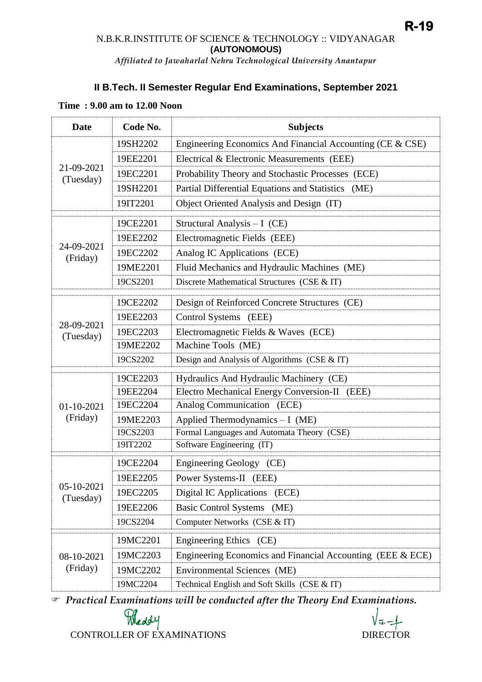# **II B.Tech. II Semester Regular End Examinations, September 2021**

| <b>Date</b>              | Code No. | <b>Subjects</b>                                            |
|--------------------------|----------|------------------------------------------------------------|
| 21-09-2021<br>(Tuesday)  | 19SH2202 | Engineering Economics And Financial Accounting (CE & CSE)  |
|                          | 19EE2201 | Electrical & Electronic Measurements (EEE)                 |
|                          | 19EC2201 | Probability Theory and Stochastic Processes (ECE)          |
|                          | 19SH2201 | Partial Differential Equations and Statistics (ME)         |
|                          | 19IT2201 | Object Oriented Analysis and Design (IT)                   |
| 24-09-2021<br>(Friday)   | 19CE2201 | Structural Analysis $-I$ (CE)                              |
|                          | 19EE2202 | Electromagnetic Fields (EEE)                               |
|                          | 19EC2202 | Analog IC Applications (ECE)                               |
|                          | 19ME2201 | Fluid Mechanics and Hydraulic Machines (ME)                |
|                          | 19CS2201 | Discrete Mathematical Structures (CSE & IT)                |
| 28-09-2021<br>(Tuesday)  | 19CE2202 | Design of Reinforced Concrete Structures (CE)              |
|                          | 19EE2203 | Control Systems (EEE)                                      |
|                          | 19EC2203 | Electromagnetic Fields & Waves (ECE)                       |
|                          | 19ME2202 | Machine Tools (ME)                                         |
|                          | 19CS2202 | Design and Analysis of Algorithms (CSE & IT)               |
| $01-10-2021$<br>(Friday) | 19CE2203 | Hydraulics And Hydraulic Machinery (CE)                    |
|                          | 19EE2204 | Electro Mechanical Energy Conversion-II (EEE)              |
|                          | 19EC2204 | Analog Communication (ECE)                                 |
|                          | 19ME2203 | Applied Thermodynamics $-I$ (ME)                           |
|                          | 19CS2203 | Formal Languages and Automata Theory (CSE)                 |
|                          | 19IT2202 | Software Engineering (IT)                                  |
| 05-10-2021<br>(Tuesday)  | 19CE2204 | Engineering Geology (CE)                                   |
|                          | 19EE2205 | Power Systems-II (EEE)                                     |
|                          | 19EC2205 | Digital IC Applications<br>(ECE)                           |
|                          | 19EE2206 | Basic Control Systems (ME)                                 |
|                          | 19CS2204 | Computer Networks (CSE & IT)                               |
| 08-10-2021<br>(Friday)   | 19MC2201 | Engineering Ethics (CE)                                    |
|                          | 19MC2203 | Engineering Economics and Financial Accounting (EEE & ECE) |
|                          | 19MC2202 | Environmental Sciences (ME)                                |
|                          | 19MC2204 | Technical English and Soft Skills (CSE & IT)               |

#### **Time : 9.00 am to 12.00 Noon**

*Practical Examinations will be conducted after the Theory End Examinations.* 

CONTROLLER OF EXAMINATIONS DIRECTOR